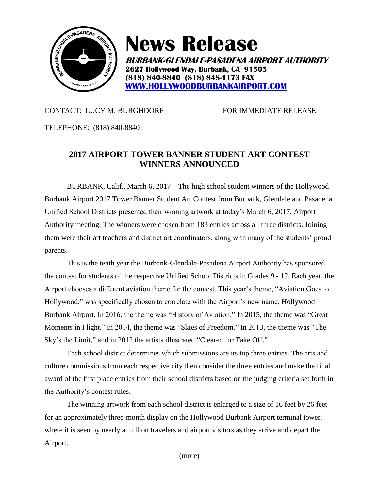

# **News Release**

**BURBANK-GLENDALE-PASADENA AIRPORT AUTHORITY 2627 Hollywood Way, Burbank, CA 91505 (818) 840-8840 (818) 848-1173 FAX [WWW.HOLLYWOODBURBANKAIRPORT.COM](http://www.hollywoodburbankairport.com/)**

# CONTACT: LUCY M. BURGHDORF FOR IMMEDIATE RELEASE

TELEPHONE: (818) 840-8840

# **2017 AIRPORT TOWER BANNER STUDENT ART CONTEST WINNERS ANNOUNCED**

BURBANK, Calif., March 6, 2017 – The high school student winners of the Hollywood Burbank Airport 2017 Tower Banner Student Art Contest from Burbank, Glendale and Pasadena Unified School Districts presented their winning artwork at today's March 6, 2017, Airport Authority meeting. The winners were chosen from 183 entries across all three districts. Joining them were their art teachers and district art coordinators, along with many of the students' proud parents.

This is the tenth year the Burbank-Glendale-Pasadena Airport Authority has sponsored the contest for students of the respective Unified School Districts in Grades 9 - 12. Each year, the Airport chooses a different aviation theme for the contest. This year's theme, "Aviation Goes to Hollywood," was specifically chosen to correlate with the Airport's new name, Hollywood Burbank Airport. In 2016, the theme was "History of Aviation." In 2015, the theme was "Great Moments in Flight." In 2014, the theme was "Skies of Freedom." In 2013, the theme was "The Sky's the Limit," and in 2012 the artists illustrated "Cleared for Take Off."

Each school district determines which submissions are its top three entries. The arts and culture commissions from each respective city then consider the three entries and make the final award of the first place entries from their school districts based on the judging criteria set forth in the Authority's contest rules.

The winning artwork from each school district is enlarged to a size of 16 feet by 26 feet for an approximately three-month display on the Hollywood Burbank Airport terminal tower, where it is seen by nearly a million travelers and airport visitors as they arrive and depart the Airport.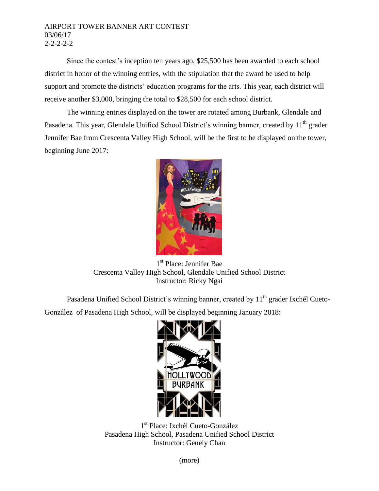## AIRPORT TOWER BANNER ART CONTEST 03/06/17 2-2-2-2-2

Since the contest's inception ten years ago, \$25,500 has been awarded to each school district in honor of the winning entries, with the stipulation that the award be used to help support and promote the districts' education programs for the arts. This year, each district will receive another \$3,000, bringing the total to \$28,500 for each school district.

The winning entries displayed on the tower are rotated among Burbank, Glendale and Pasadena. This year, Glendale Unified School District's winning banner, created by 11<sup>th</sup> grader Jennifer Bae from Crescenta Valley High School, will be the first to be displayed on the tower, beginning June 2017:



1 st Place: Jennifer Bae Crescenta Valley High School, Glendale Unified School District Instructor: Ricky Ngai

Pasadena Unified School District's winning banner, created by 11<sup>th</sup> grader Ixchél Cueto-González of Pasadena High School, will be displayed beginning January 2018:



1 st Place: Ixchél Cueto-González Pasadena High School, Pasadena Unified School District Instructor: Genely Chan

(more)